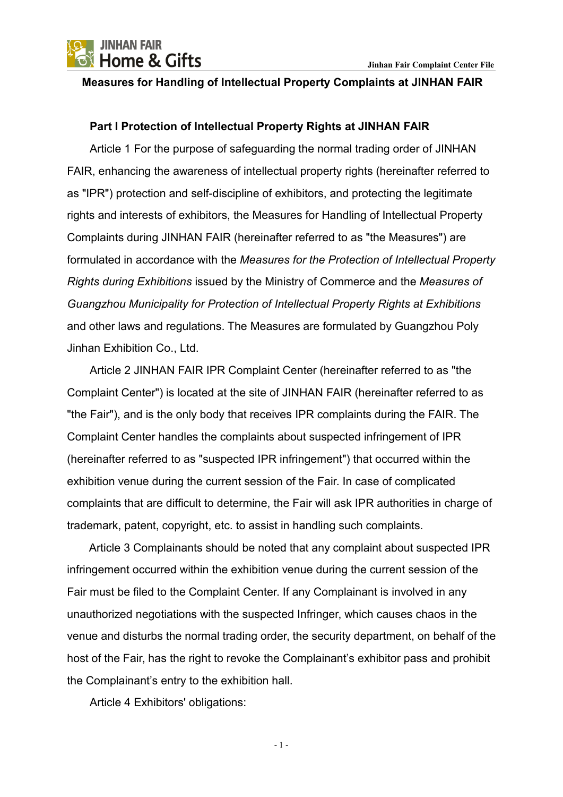

#### **Measures for Handling of Intellectual Property Complaints at JINHAN FAIR**

### **Part I Protection of Intellectual Property Rights at JINHAN FAIR**

Article 1 For the purpose of safeguarding the normal trading order of JINHAN FAIR, enhancing the awareness of intellectual property rights (hereinafter referred to as "IPR") protection and self-discipline of exhibitors, and protecting the legitimate rights and interests of exhibitors, the Measures for Handling of Intellectual Property Complaints during JINHAN FAIR (hereinafter referred to as "the Measures") are formulated in accordance with the *Measures for the Protection of Intellectual Property Rights during Exhibitions* issued by the Ministry of Commerce and the *Measures of Guangzhou Municipality for Protection of Intellectual Property Rights at Exhibitions* and other laws and regulations. The Measures are formulated by Guangzhou Poly Jinhan Exhibition Co., Ltd.

Article 2 JINHAN FAIR IPR Complaint Center (hereinafter referred to as "the Complaint Center") is located at the site of JINHAN FAIR (hereinafter referred to as "the Fair"), and is the only body that receives IPR complaints during the FAIR. The Complaint Center handles the complaints about suspected infringement of IPR (hereinafter referred to as "suspected IPR infringement") that occurred within the exhibition venue during the current session of the Fair. In case of complicated complaints that are difficult to determine, the Fair will ask IPR authorities in charge of trademark, patent, copyright, etc. to assist in handling such complaints.

Article 3 Complainants should be noted that any complaint about suspected IPR infringement occurred within the exhibition venue during the current session of the Fair must be filed to the Complaint Center. If any Complainant is involved in any unauthorized negotiations with the suspected Infringer, which causes chaos in the venue and disturbs the normal trading order, the security department, on behalf of the host of the Fair, has the right to revoke the Complainant's exhibitor pass and prohibit the Complainant's entry to the exhibition hall.

Article 4 Exhibitors' obligations: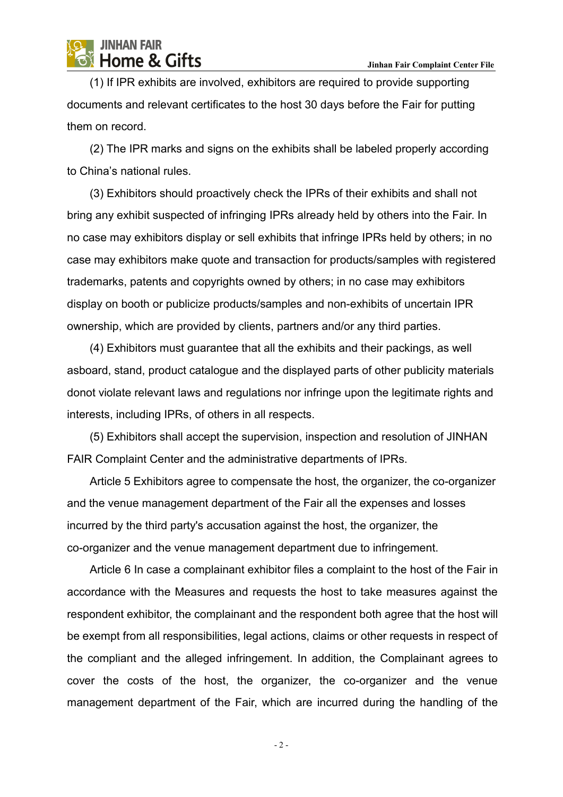(1) If IPR exhibits are involved, exhibitors are required to provide supporting documents and relevant certificates to the host 30 days before the Fair for putting them on record.

(2) The IPR marks and signs on the exhibits shall be labeled properly according to China's national rules.

(3) Exhibitors should proactively check the IPRs of their exhibits and shall not bring any exhibit suspected of infringing IPRs already held by others into the Fair. In no case may exhibitors display or sell exhibits that infringe IPRs held by others; in no case may exhibitors make quote and transaction for products/samples with registered trademarks, patents and copyrights owned by others; in no case may exhibitors display on booth or publicize products/samples and non-exhibits of uncertain IPR ownership, which are provided by clients, partners and/or any third parties.

(4) Exhibitors must guarantee that all the exhibits and their packings, as well asboard, stand, product catalogue and the displayed parts of other publicity materials donot violate relevant laws and regulations nor infringe upon the legitimate rights and interests, including IPRs, of others in all respects.

(5) Exhibitors shall accept the supervision, inspection and resolution of JINHAN FAIR Complaint Center and the administrative departments of IPRs.

Article 5 Exhibitors agree to compensate the host, the organizer, the co-organizer and the venue management department of the Fair all the expenses and losses incurred by the third party's accusation against the host, the organizer, the co-organizer and the venue management department due to infringement.

Article 6 In case a complainant exhibitor files a complaint to the host of the Fair in accordance with the Measures and requests the host to take measures against the respondent exhibitor, the complainant and the respondent both agree that the host will be exempt from all responsibilities, legal actions, claims or other requests in respect of the compliant and the alleged infringement. In addition, the Complainant agrees to cover the costs of the host, the organizer, the co-organizer and the venue management department of the Fair, which are incurred during the handling of the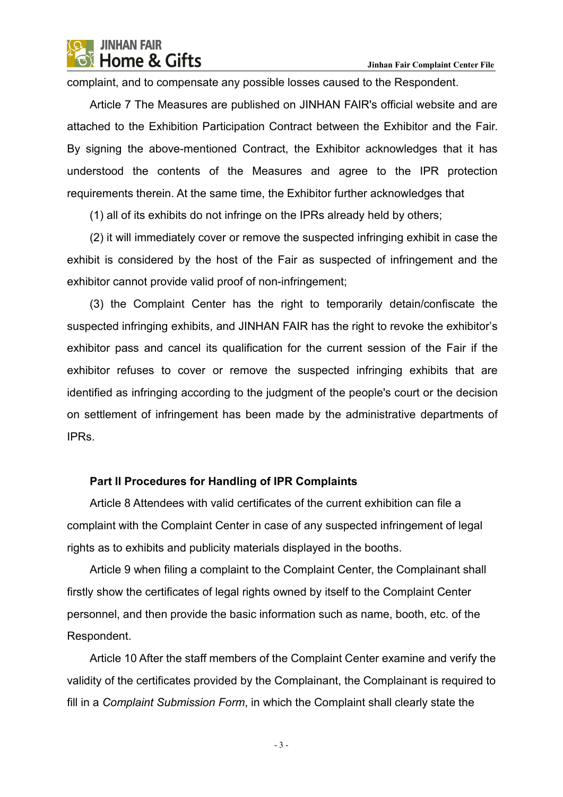complaint, and to compensate any possible losses caused to the Respondent.

Article 7 The Measures are published on JINHAN FAIR's official website and are attached to the Exhibition Participation Contract between the Exhibitorand the Fair. By signing the above-mentioned Contract, the Exhibitor acknowledges that it has understood the contents of the Measures and agree to the IPR protection requirements therein. At the same time, the Exhibitor further acknowledges that

(1) all of its exhibits do not infringe on the IPRs already held by others;

(2) it will immediately cover or remove the suspected infringing exhibit in case the exhibit is considered by the host of the Fair as suspected of infringement and the exhibitor cannot provide valid proof of non-infringement;

(3) the Complaint Center has the right to temporarily detain/confiscate the suspected infringing exhibits, and JINHAN FAIR has the right to revoke the exhibitor's exhibitor pass and cancel its qualification for the current session of the Fair if the exhibitor refuses to cover or remove the suspected infringing exhibits that are identified as infringing according to the judgment of the people's court or the decision on settlement of infringement has been made by the administrative departments of IPRs.

### **Part II Procedures for Handling of IPR Complaints**

Article 8 Attendees with valid certificates of the current exhibition can file a complaint with the Complaint Center in case of any suspected infringement of legal rights as to exhibits and publicity materials displayed in the booths.

Article 9 when filing a complaint to the Complaint Center, the Complainant shall firstly show the certificates of legal rights owned by itself to the Complaint Center personnel, and then provide the basic information such as name, booth, etc. of the Respondent.

Article 10 After the staff members of the Complaint Center examine and verify the validity of the certificates provided by the Complainant, the Complainant is required to fill in a *Complaint Submission Form*, in which the Complaint shall clearly state the

- 3 -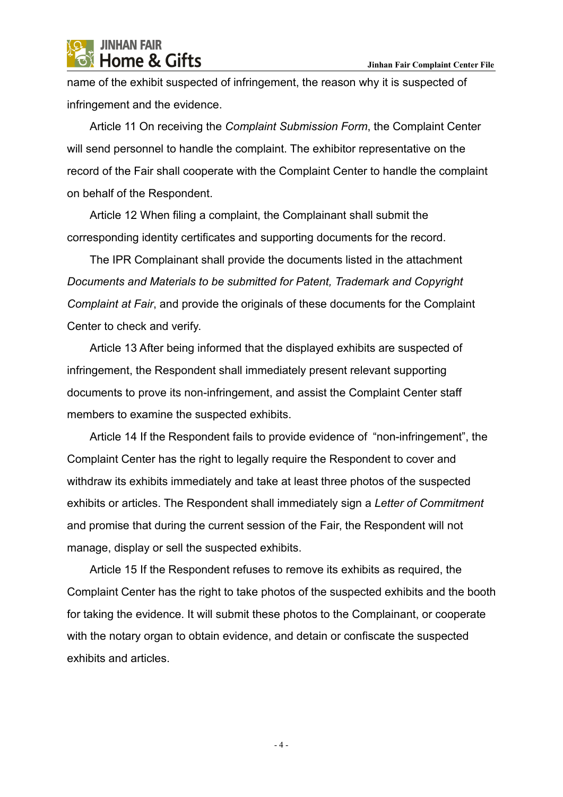



name of the exhibit suspected of infringement, the reason why it is suspected of infringement and the evidence.

Article 11 On receiving the *Complaint Submission Form*, the Complaint Center will send personnel to handle the complaint. The exhibitor representative on the record of the Fair shall cooperate with the Complaint Center to handle the complaint on behalf of the Respondent.

Article 12 When filing a complaint, the Complainant shall submit the corresponding identity certificates and supporting documents for the record.

The IPR Complainant shall provide the documents listed in the attachment *Documents and Materials to be submitted for Patent, Trademark and Copyright Complaint at Fair*, and provide the originals of these documents for the Complaint Center to check and verify.

Article 13 After being informed that the displayed exhibits are suspected of infringement, the Respondent shall immediately present relevant supporting documents to prove its non-infringement, and assist the Complaint Center staff members to examine the suspected exhibits.

Article 14 If the Respondent fails to provide evidence of "non-infringement", the Complaint Center has the right to legally require the Respondent to cover and withdraw its exhibits immediately and take at least three photos of the suspected exhibits or articles. The Respondent shall immediately sign a *Letter of Commitment* and promise that during the current session of the Fair, the Respondent will not manage, display or sell the suspected exhibits.

Article 15 If the Respondent refuses to remove its exhibits as required, the Complaint Center has the right to take photos of the suspected exhibits and the booth for taking the evidence. It will submit these photos to the Complainant, or cooperate with the notary organ to obtain evidence, and detain or confiscate the suspected exhibits and articles.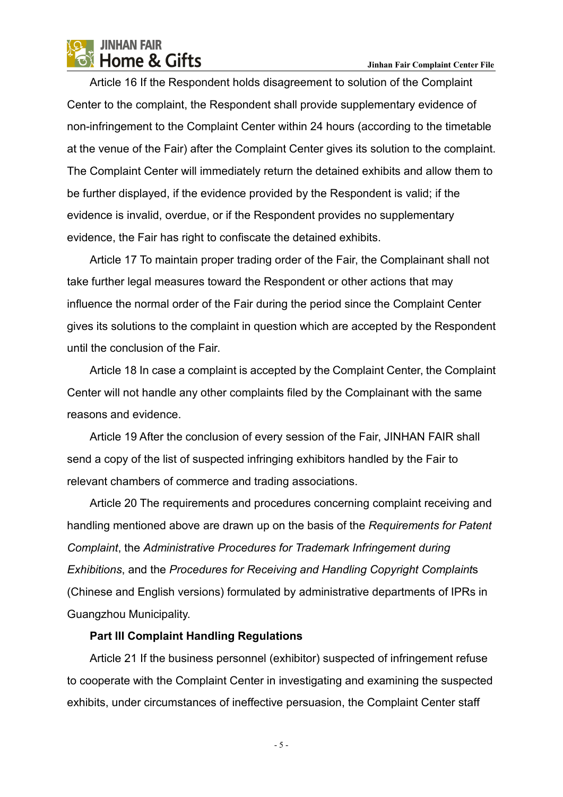Article 16 If the Respondent holds disagreement to solution of the Complaint Center to the complaint, the Respondent shall provide supplementary evidence of non-infringement to the Complaint Center within 24 hours (according to the timetable at the venue of the Fair) after the Complaint Center gives its solution to the complaint. The Complaint Center will immediately return the detained exhibits and allow them to be further displayed, if the evidence provided by the Respondent is valid; if the evidence is invalid, overdue, or if the Respondent provides no supplementary evidence, the Fair has right to confiscate the detained exhibits.

Article 17 To maintain proper trading order of the Fair, the Complainant shall not take further legal measures toward the Respondent or other actions that may influence the normal order of the Fair during the period since the Complaint Center gives its solutions to the complaint in question which are accepted by the Respondent until the conclusion of the Fair.

Article 18 In case a complaint is accepted by the Complaint Center, the Complaint Center will not handle any other complaints filed by the Complainant with the same reasons and evidence.

Article 19 After the conclusion of every session of the Fair, JINHAN FAIR shall send a copy of the list of suspected infringing exhibitors handled by the Fair to relevant chambers of commerce and trading associations.

Article 20 The requirements and procedures concerning complaint receiving and handling mentioned above are drawn up on the basis of the *Requirements for Patent Complaint*, the *Administrative Procedures for Trademark Infringement during Exhibitions*, and the *Procedures for Receiving and Handling Copyright Complaint*s (Chinese and English versions) formulated by administrative departments of IPRs in Guangzhou Municipality.

### **Part III Complaint Handling Regulations**

Article 21 If the business personnel (exhibitor) suspected of infringement refuse to cooperate with the Complaint Center in investigating and examining the suspected exhibits, under circumstances of ineffective persuasion, the Complaint Center staff

- 5 -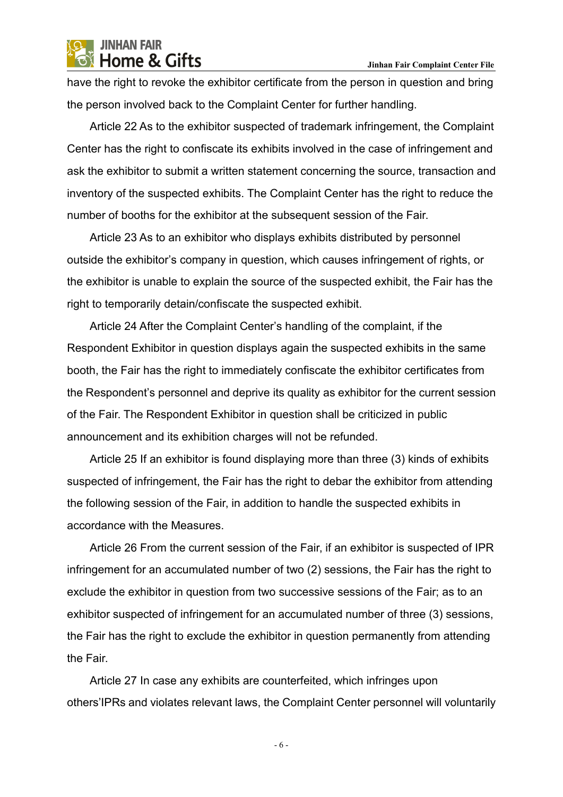have the right to revoke the exhibitor certificate from the person in question and bring the person involved back to the Complaint Center for further handling.

Article 22 As to the exhibitor suspected of trademark infringement, the Complaint Center has the right to confiscate its exhibits involved in the case of infringement and ask the exhibitor to submit a written statement concerning the source, transaction and inventory of the suspected exhibits. The Complaint Center has the right to reduce the number of booths for the exhibitor at the subsequent session of the Fair.

Article 23 As to an exhibitor who displays exhibits distributed by personnel outside the exhibitor's company in question, which causes infringement of rights, or the exhibitor is unable to explain the source of the suspected exhibit, the Fair has the right to temporarily detain/confiscate the suspected exhibit.

Article 24 After the Complaint Center's handling of the complaint, if the Respondent Exhibitor in question displays again the suspected exhibits in the same booth, the Fair has the right to immediately confiscate the exhibitor certificates from the Respondent's personnel and deprive its quality as exhibitor for the current session of the Fair. The Respondent Exhibitor in question shall be criticized in public announcement and its exhibition charges will not be refunded.

Article 25 If an exhibitor is found displaying more than three (3) kinds of exhibits suspected of infringement, the Fair has the right to debar the exhibitor from attending the following session of the Fair, in addition to handle the suspected exhibits in accordance with the Measures.

Article 26 From the current session of the Fair, if an exhibitor is suspected of IPR infringement for an accumulated number of two (2) sessions, the Fair has the right to exclude the exhibitor in question from two successive sessions of the Fair; as to an exhibitor suspected of infringement for an accumulated number of three (3) sessions, the Fair has the right to exclude the exhibitor in question permanently from attending the Fair.

Article 27 In case any exhibits are counterfeited, which infringes upon others' IPRs and violates relevant laws, the Complaint Center personnel will voluntarily

- 6 -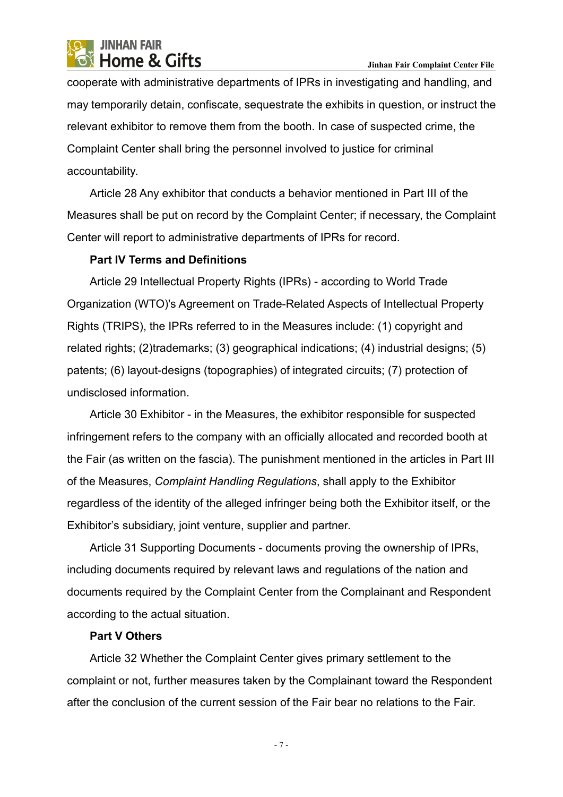cooperate with administrative departments of IPRs in investigating and handling, and may temporarily detain, confiscate, sequestrate the exhibits in question, or instruct the relevant exhibitor to remove them from the booth. In case of suspected crime, the Complaint Center shall bring the personnel involved to justice for criminal accountability.

Article 28 Any exhibitor that conducts a behavior mentioned in Part III of the Measures shall be put on record by the Complaint Center; if necessary, the Complaint Center will report to administrative departments of IPRs for record.

## **Part IV Terms and Definitions**

Article 29 Intellectual Property Rights (IPRs) - according to World Trade Organization (WTO)'s Agreement on Trade-Related Aspects of Intellectual Property Rights (TRIPS), the IPRs referred to in the Measures include: (1) copyright and related rights; (2)trademarks; (3) geographical indications; (4) industrial designs; (5) patents; (6) layout-designs (topographies) of integrated circuits; (7) protection of undisclosed information.

Article 30 Exhibitor - in the Measures, the exhibitor responsible for suspected infringement refers to the company with an officially allocated and recorded booth at the Fair (as written on the fascia). The punishment mentioned in the articles in Part III of the Measures, *Complaint Handling Regulations*, shall apply to the Exhibitor regardless of the identity of the alleged infringer being both the Exhibitor itself, or the Exhibitor's subsidiary, joint venture, supplier and partner.

Article 31 Supporting Documents - documents proving the ownership of IPRs, including documents required by relevant laws and regulations of the nation and documents required by the Complaint Center from the Complainant and Respondent according to the actual situation.

## **Part V Others**

Article 32 Whether the Complaint Center gives primary settlement to the complaint or not, further measures taken by the Complainant toward the Respondent after the conclusion of the current session of the Fair bear no relations to the Fair.

- 7 -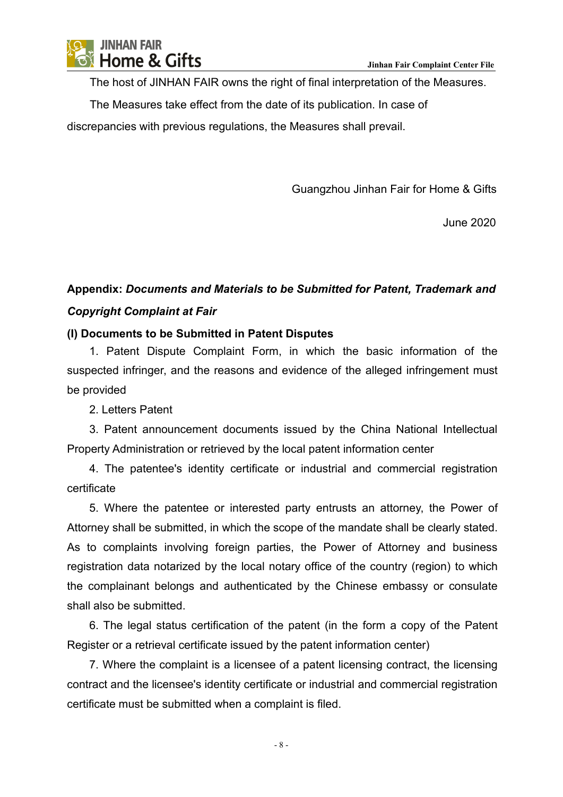

The host of JINHAN FAIR owns the right of final interpretation of the Measures.

The Measures take effect from the date of its publication. In case of

discrepancies with previous regulations, the Measures shall prevail.

Guangzhou Jinhan Fair for Home & Gifts

June 2020

# **Appendix:** *Documents and Materials to be Submitted for Patent, Trademark and Copyright Complaint at Fair*

### **(I) Documents to be Submitted in Patent Disputes**

1. Patent Dispute Complaint Form, in which the basic information of the suspected infringer, and the reasons and evidence of the alleged infringement must be provided

2. Letters Patent

3. Patent announcement documents issued by the China National Intellectual Property Administration or retrieved by the local patent information center

4. The patentee's identity certificate or industrial and commercial registration certificate

5. Where the patentee or interested party entrusts an attorney, the Power of Attorney shall be submitted, in which the scope of the mandate shall be clearly stated. As to complaints involving foreign parties, the Power of Attorney and business registration data notarized by the local notary office of the country (region) to which the complainant belongs and authenticated by the Chinese embassy or consulate shall also be submitted.

6. The legal status certification of the patent (in the form a copy of the Patent Register or a retrieval certificate issued by the patent information center)

7. Where the complaint is a licensee of a patent licensing contract, the licensing contract and the licensee's identity certificate or industrial and commercial registration certificate must be submitted when a complaint is filed.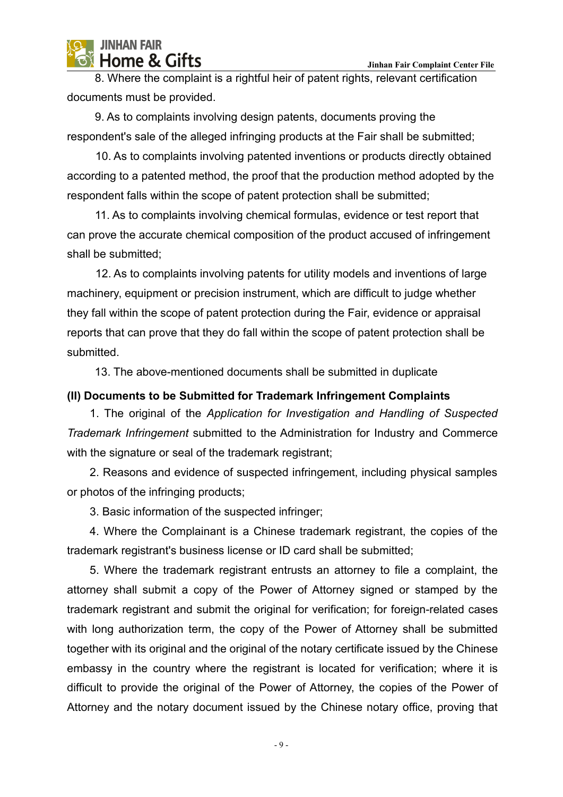8. Where the complaint is a rightful heir of patent rights, relevant certification documents must be provided.

9. As to complaints involving design patents, documents proving the respondent's sale of the alleged infringing products at the Fair shall be submitted;

10. As to complaints involving patented inventions or products directly obtained according to a patented method, the proof that the production method adopted by the respondent falls within the scope of patent protection shall be submitted;

11. As to complaints involving chemical formulas, evidence or test report that can prove the accurate chemical composition of the product accused of infringement shall be submitted;

12. As to complaints involving patents for utility models and inventions of large machinery, equipment or precision instrument, which are difficult to judge whether they fall within the scope of patent protection during the Fair, evidence or appraisal reports that can prove that they do fall within the scope of patent protection shall be submitted.

13. The above-mentioned documents shall be submitted in duplicate

## **(II) Documents to be Submitted for Trademark Infringement Complaints**

1. The original of the *Application for Investigation and Handling of Suspected Trademark Infringement* submitted to the Administration for Industry and Commerce with the signature or seal of the trademark registrant;

2. Reasons and evidence of suspected infringement, including physical samples or photos of the infringing products;

3. Basic information of the suspected infringer;

4. Where the Complainant is a Chinese trademark registrant, the copies of the trademark registrant's business license or ID card shall be submitted;

5. Where the trademark registrant entrusts an attorney to file a complaint, the attorney shall submit a copy of the Power of Attorney signed or stamped by the trademark registrant and submit the original for verification; for foreign-related cases with long authorization term, the copy of the Power of Attorney shall be submitted together with its original and the original of the notary certificate issued by the Chinese embassy in the country where the registrant is located for verification; where it is difficult to provide the original of the Power of Attorney, the copies of the Power of Attorney and the notary document issued by the Chinese notary office, proving that